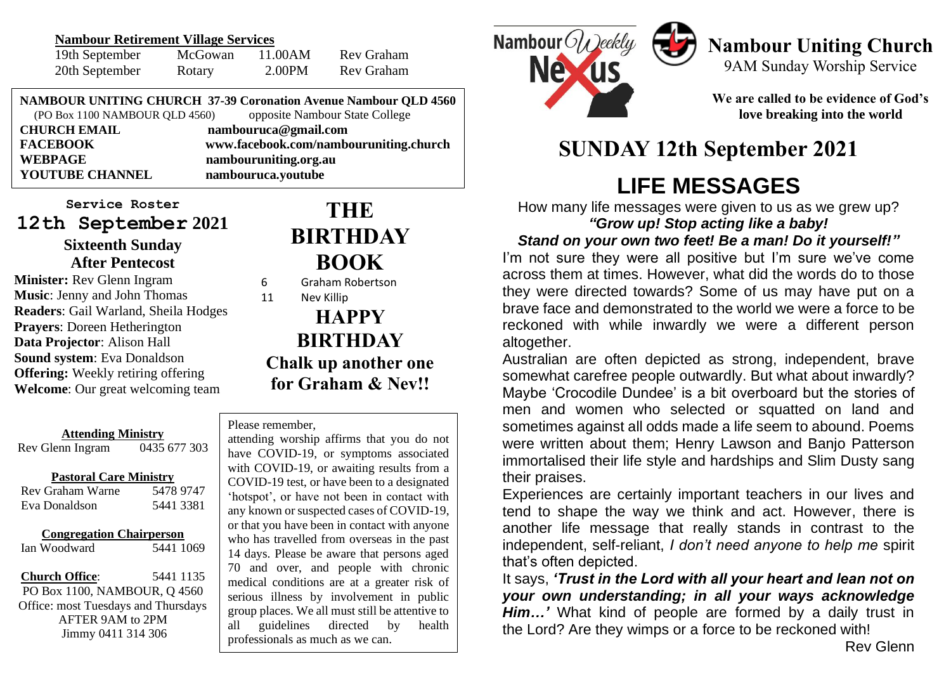#### **Nambour Retirement Village Services**

| 19th September | McGowan | 11.00AM | Rev Graham |
|----------------|---------|---------|------------|
| 20th September | Rotary  | 2.00PM  | Rev Graham |

**NAMBOUR UNITING CHURCH 37-39 Coronation Avenue Nambour QLD 4560** (PO Box 1100 NAMBOUR QLD 4560) opposite Nambour State College

| <b>CHURCH EMAIL</b> | nambouruca@gmail.com                   |
|---------------------|----------------------------------------|
| <b>FACEBOOK</b>     | www.facebook.com/nambouruniting.church |
| WEBPAGE             | nambouruniting.org.au                  |
| YOUTUBE CHANNEL     | nambouruca.youtube                     |
|                     |                                        |

**Service Roster 12th September 2021 Sixteenth Sunday After Pentecost**

**Minister:** Rev Glenn Ingram **Music**: Jenny and John Thomas **Readers**: Gail Warland, Sheila Hodges **Prayers**: Doreen Hetherington **Data Projector**: Alison Hall **Sound system**: Eva Donaldson **Offering:** Weekly retiring offering **Welcome**: Our great welcoming team

| <b>Attending Ministry</b>       |              |  |  |  |
|---------------------------------|--------------|--|--|--|
| Rev Glenn Ingram                | 0435 677 303 |  |  |  |
| <b>Pastoral Care Ministry</b>   |              |  |  |  |
| Rev Graham Warne                | 5478 9747    |  |  |  |
| Eva Donaldson                   | 5441 3381    |  |  |  |
| <b>Congregation Chairperson</b> |              |  |  |  |

**Church Office**: 5441 1135 PO Box 1100, NAMBOUR, Q 4560 Office: most Tuesdays and Thursdays AFTER 9AM to 2PM Jimmy 0411 314 306

Ian Woodward 5441 1069

## **THE BIRTHDAY BOOK**

6 Graham Robertson

11 Nev Killip

## **HAPPY BIRTHDAY Chalk up another one for Graham & Nev!!**

#### Please remember,

**TO TO TO TACKY AND TO SERVER AND SERIOUS Illness** by involvement in public group places. We all must still be attentive to<br>all quidelines directed by health attending worship affirms that you do not have COVID-19, or symptoms associated with COVID-19, or awaiting results from a COVID-19 test, or have been to a designated 'hotspot', or have not been in contact with any known or suspected cases of COVID-19, or that you have been in contact with anyone who has travelled from overseas in the past 14 days. Please be aware that persons aged 70 and over, and people with chronic medical conditions are at a greater risk of all guidelines directed by health professionals as much as we can.



# **Nambour Uniting Church**

9AM Sunday Worship Service

**We are called to be evidence of God's love breaking into the world**

## **SUNDAY 12th September 2021**

# **LIFE MESSAGES**

How many life messages were given to us as we grew up? *"Grow up! Stop acting like a baby!*

#### *Stand on your own two feet! Be a man! Do it yourself!"*

I'm not sure they were all positive but I'm sure we've come across them at times. However, what did the words do to those they were directed towards? Some of us may have put on a brave face and demonstrated to the world we were a force to be reckoned with while inwardly we were a different person altogether.

Australian are often depicted as strong, independent, brave somewhat carefree people outwardly. But what about inwardly? Maybe 'Crocodile Dundee' is a bit overboard but the stories of men and women who selected or squatted on land and sometimes against all odds made a life seem to abound. Poems were written about them; Henry Lawson and Banjo Patterson immortalised their life style and hardships and Slim Dusty sang their praises.

Experiences are certainly important teachers in our lives and tend to shape the way we think and act. However, there is another life message that really stands in contrast to the independent, self-reliant, *I don't need anyone to help me* spirit that's often depicted.

It says, *'Trust in the Lord with all your heart and lean not on your own understanding; in all your ways acknowledge Him…'* What kind of people are formed by a daily trust in the Lord? Are they wimps or a force to be reckoned with!